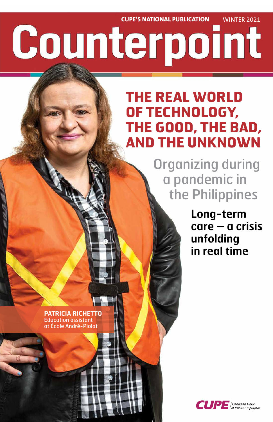**CUPE'S NATIONAL PUBLICATION** WINTER 2021

# Counterpoint

# **THE REAL WORLD OF TECHNOLOGY, THE GOOD, THE BAD, AND THE UNKNOWN**

 Organizing during a pandemic in the Philippines

> **Long-term care – a crisis unfolding in real time**

**PATRICIA RICHETTO**  Education assistant at École André-Piolat

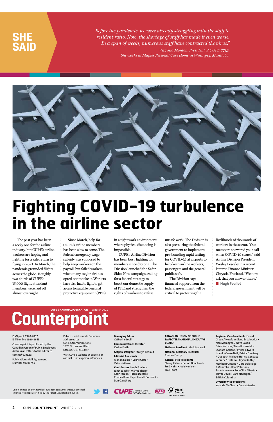**2 CUPE COUNTERPOINT** WINTER 2021

*Before the pandemic, we were already struggling with the staff to resident ratio. Now, the shortage of staff has made it even worse. In a span of weeks, numerous staff have contracted the virus," Virginia Monton, President of CUPE 2719.* 

*She works at Maples Personal Care Home in Winnipeg, Manitoba.*



### **SHE SAID**

Union-printed on 50% recycled, 30% post-consumer waste, elemental chlorine-free paper, certified by the Forest Stewardship Council.







ISSN print 1920-2857 ISSN online 1920-2865

Counterpoint is published by the Canadian Union of Public Employees. Address all letters to the editor to: comm@cupe.ca

Publications Mail Agreement Number 40005741

Return undeliverable Canadian addresses to: CUPE Communications, 1375 St. Laurent Blvd. Ottawa, ON, K1G 0Z7

Visit CUPE's website at cupe.ca or contact us at cupemail@cupe.ca

**Managing Editor** Catherine Louli

**Communications Director** Karine Fortin

**Graphic Designer** Jocelyn Renaud

**Editorial Assistants** Manon Lajoie • Céline Carré • Valérie Ménard

**Contributors** Hugh Pouliot • Janet Szliske • Marnie Thorp • Karin Jordan • Pierre Ducasse • Charles Brenchley • Ronald Boisrond • Dan Gawthorp

**CANADIAN UNION OF PUBLIC EMPLOYEES NATIONAL EXECUTIVE BOARD**

**National President** Mark Hancock

**National Secretary-Treasurer** Charles Fleury

**General Vice-Presidents** Sherry Hillier • Benoît Bouchard • Fred Hahn • Judy Henley • Paul Faoro

#### **Regional Vice-Presidents** Ernest Green / Newfoundland & Labrador • Nan McFadgen / Nova Scotia • Brien Watson / New Brunswick • Leonard Gallant / Prince Edward Island • Carole Neill, Patrick Gloutney / Quebec • Michael Hurley, Candace Rennick / Ontario • Bryan Keith / Northern Ontario • Gord Delbridge

livelihoods of thousands of workers in the sector. "Our members answered your call when COVID-19 struck," said Airline Division President Wesley Lesosky in a recent letter to Finance Minister Chrystia Freeland. "We now ask that you answer theirs." ■ **Hugh Pouliot** 

# **Counterpoint**

/ Manitoba • Kent Peterson / Saskatchewan • Rory Gill / Alberta • Trevor Davies, Barb Nederpel / British Columbia

**Diversity Vice-Presidents** Yolanda McClean • Debra Merrier

# **Fighting COVID-19 turbulence in the airline sector**

The past year has been a rocky one for the airline industry, but CUPE's airline workers are hoping and fighting for a safe return to flying in 2021. In March, the pandemic grounded flights across the globe. Roughly two-thirds of CUPE's 15,000 flight attendant members were laid off almost overnight.

Since March, help for CUPE's airline members has been slow to come. The federal emergency wage subsidy was supposed to help keep workers on the payroll, but failed workers when many major airlines opted not to take it. Workers have also had to fight to get access to suitable personal protective equipment (PPE)

in a tight work environment where physical distancing is impossible.

CUPE's Airline Division has been busy fighting for members since day one. The Division launched the Safer Skies Now campaign, calling for a federal strategy to boost our domestic supply of PPE and strengthen the rights of workers to refuse

unsafe work. The Division is also pressuring the federal government to implement pre-boarding rapid testing for COVID-19 at airports to help keep airline workers, passengers and the general public safe.

The Division says financial support from the federal government will be critical to protecting the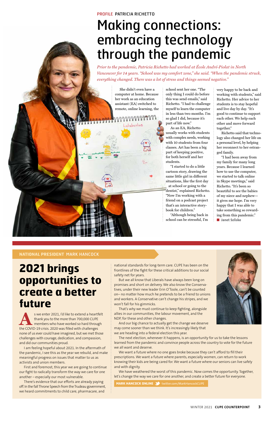#### **NATIONAL PRESIDENT** MARK HANCOCK

**2021 brings opportunities to create a better future** 

s we enter 2021, I'd like to extend a heartfelt<br>thank you to the more than 700,000 CUPE<br>members who have worked so hard through<br>the COVID-19 crisis 2020 was filled with challenges thank you to the more than 700,000 CUPE members who have worked so hard through the COVID-19 crisis. 2020 was filled with challenges none of us ever could have imagined, but we met those challenges with courage, dedication, and compassion, and did our communities proud.

I am feeling hopeful about 2021. In the aftermath of the pandemic, I see this as the year we rebuild, and make meaningful progress on issues that matter to us as activists and union members.

First and foremost, this year we are going to continue our fight to radically transform the way we care for one another – especially our most vulnerable.

There's evidence that our efforts are already paying off. In the fall Throne Speech from the Trudeau government, we heard commitments to child care, pharmacare, and

national standards for long-term care. CUPE has been on the frontlines of the fight for these critical additions to our social safety net for years.

But we all know that Liberals have always been long on promises and short on delivery. We also know the Conservatives, under their new leader Erin O'Toole, can't be counted on– no matter how much he pretends to be a friend to unions and workers. A Conservative can't change his stripes, and we won't fall for his gimmicks.

That's why we must continue to keep fighting, alongside



allies in our communities, the labour movement, and the NDP, for these and other changes.

And our big chance to actually get the change we deserve may come sooner than we think. It's increasingly likely that we are heading into a federal election this year.

The next election, whenever it happens, is an opportunity for us to take the lessons learned from the pandemic and convince people across the country to vote for the future we all want and deserve.

We want a future where no one goes broke because they can't afford to fill their prescriptions. We want a future where parents, especially women, can return to work knowing their kids are being cared for. We want a future where our seniors can live safely and with dignity.

We have weathered the worst of this pandemic. Now comes the opportunity. Together, let's change the way we care for one another, and create a better future for everyone.

**MARK HANCOCK ONLINE 3** twitter.com/MarkHancockCUPE

She didn't even have a computer at home. Because her work as an education assistant (EA) switched to remote, online learning, the

Luluberlue

school sent her one. "The only thing I could do before this was send emails," said Richetto. "I had to challenge myself to learn the computer in less than two months. I'm so glad I did, because it's part of life now."

As an EA, Richetto usually works with students with complex needs, working with 10 students from four classes. Art has been a big part of keeping positive, for both herself and her students.

"I started to do a little cartoon story, drawing the same little girl in different situations, like the first day at school or going to the dentist," explained Richetto. "Now I'm working with a friend on a podcast project that's an interactive storybook for children."

"Although being back in school can be stressful, I'm

very happy to be back and working with students," said Richetto. Her advice to her students is to stay hopeful and live day by day. "It's good to continue to support each other. We help each other and move forward together."

Richetto said that techno logy also changed her life on a personal level, by helping her reconnect to her estranged family.

"I had been away from my family for many long years. Because I learned how to use the computer, we started to talk online in Skype meetings," said Richetto. "It's been so beautiful to see the babies of my niece and nephew it gives me hope. I'm very happy that I was able to take something so rewarding from this pandemic." ■ **Janet Szliske**

#### PROFILE PATRICIA RICHETTO

## Making connections: embracing technology through the pandemic

*Prior to the pandemic, Patricia Richetto had worked at École André-Piolat in North Vancouver for 14 years. "School was my comfort zone," she said. "When the pandemic struck, everything changed. There was a lot of stress and things seemed negative."*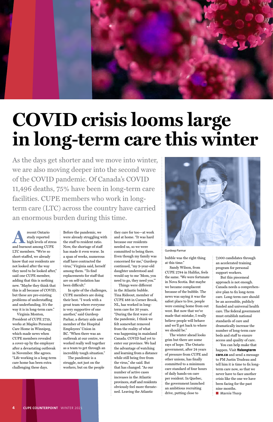

# **COVID crisis looms large in long-term care this winter**

As the days get shorter and we move into winter, we are also moving deeper into the second wave of the COVID pandemic. Of Canada's COVID 11,496 deaths, 75% have been in long-term care facilities. CUPE members who work in longterm care (LTC) across the country have carried an enormous burden during this time.

Precent Ontario<br>
and burnout among CUPE study reported high levels of stress LTC members. "We're so short-staffed, we already know that our residents are not looked after the way they need to be looked after," said one CUPE member, adding that this is nothing new. "Maybe they think that this is all because of COVID, but these are pre-existing problems of understaffing and underfunding. It's the way it is in long-term care. Virginia Monton, President of CUPE 2719, works at Maples Personal Care Home in Winnipeg, which made news when CUPE members revealed a cover-up by the employer after a devastating outbreak in November. She agrees. "Life working in a long-term care home has been extra challenging these days.

Before the pandemic, we were already struggling with the staff to resident ratio. Now, the shortage of staff has made it even worse. In a span of weeks, numerous staff have contracted the virus," Virginia said, herself among them. "To find replacements for staff that are on self-isolation has been difficult."

In spite of the challenges, CUPE members are doing their best. "I work with a great team where everyone is very supportive of one another," said Gurdeep Parhar, a dietary aide and member of the Hospital Employees' Union in BC. "When there was an outbreak at our centre, we worked really well together as a team to get through an incredibly tough situation." The pandemic is a struggle, not just on the

But this piecemeal approach is not enough. Canada needs a comprehensive plan to fix long-term care. Long-term care should be an accessible, publicly funded and universal health care. The federal government must establish national standards of care and dramatically increase the number of long-term care beds and staff to ensure access and quality of care. You can help make that happen. Visit **fixlongterm care.ca** and send a message to PM Justin Trudeau and tell him it is time to fix longterm care now, so that we never have to face another crisis like the one we have been facing for the past nine months. ■ **Marnie Thorp** 

workers, but on the people

they care for too—at work and at home. "It was hard because our residents needed us, so we were committed to being there. Even though my family was concerned for me," Gurdeep continued, "my 9-year-old daughter understood and would say to me 'Mom, you need to go, they need you.'"

Things were different in the Atlantic bubble. Tina Rideout, member of CUPE 488 in Corner Brook, NL, has worked in longterm care for 30 years.



"During the first wave of the pandemic, I think we felt somewhat removed from the reality of what was happening in mainland Canada. COVID had yet to enter our province. We had the advantage of watching and learning from a distance while still being free from the virus," she said. But that has changed. "As our number of active cases increases in the Atlantic provinces, staff and residents obviously feel more threatened. Leaving the Atlantic

bubble was the right thing at this time."

Sandy Wilson, from CUPE 2784 in Halifax, feels the same. "We were fortunate in Nova Scotia. But maybe we became complacent because of the bubble. The news was saying it was the safest place to live, people were coming home from out

west. But now that we've made that mistake, I really believe people will behave and we'll get back to where we should be."

The winter ahead looks grim but there are some rays of hope. The Ontario government, after 24 years of pressure from CUPE and other unions, has finally committed to a minimum care standard of four hours of daily hands-on care per resident. In Quebec, the government launched an ambitious recruiting drive, putting close to

**4 CUPE COUNTERPOINT** WINTER 2021

7,000 candidates through an accelerated training program for personal support workers.

#### Gurdeep Parmar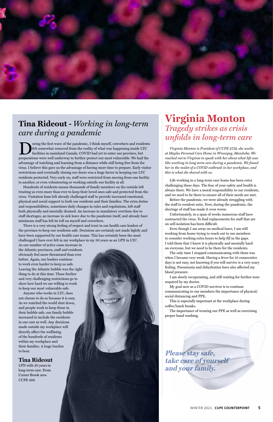

### **Tina Rideout -** *Working in long-term care during a pandemic*

I wring the first wave of the pandemic, I think myself, coworkers and residents<br>felt somewhat removed from the reality of what was happening inside LTC<br>facilities in mainland Canada. COVID had yet to enter our province, bu felt somewhat removed from the reality of what was happening inside LTC facilities in mainland Canada. COVID had yet to enter our province, but preparations were well underway to further protect our most vulnerable. We had the advantage of watching and learning from a distance while still being free from the virus. I believe this gave us the advantage of having more time to prepare. Early visitor restrictions and eventually closing our doors was a huge factor in keeping our LTC residents protected. Very early on, staff were restricted from moving from one facility to another, or even volunteering or working outside our facility at all.

Hundreds of residents means thousands of family members on the outside left trusting us even more than ever to keep their loved ones safe and protected from the virus. Visitation bans left already challenged staff to provide increased emotional, physical and social support to both our residents and their families. The extra duties and responsibilities, sometimes daily changes in rules and regulations, left staff both physically and mentally drained. An increase in mandatory overtime due to staff shortages, an increase in sick leave due to the pandemic itself, and already bare minimum staff has left its toll on myself and coworkers.

There is a very strong feeling of respect and trust in our health care leaders of the province to keep our residents safe. Decisions are certainly not made lightly and have been supported by our health care teams. This has certainly been the most challenged I have ever felt in my workplace in my 30 years as an LPN in LTC.

As our number of active cases increase in the Atlantic provinces, staff and residents obviously feel more threatened than ever before. Again, our leaders continue to work even harder to keep us safe. Leaving the Atlantic bubble was the right thing to do at this time. These further and very challenging restrictions go to show how hard we are willing to work to keep our most vulnerable safe.

Anyone who works in LTC, does not choose to do so because it is easy. As we watched the world shut down, and people work to keep those in their bubble safe, our family bubble increased to include the residents in our care as well. Any decisions made outside my workplace will directly affect the wellbeing of the hundreds of residents within my workplace and their families. A huge burden to bear.



#### **Tina Rideout**

LPN with 30 years in long-term care. From Corner Brook area CUPE 488

### **Virginia Monton** *Tragedy strikes as crisis unfolds in long-term care*

*Virginia Monton is President of CUPE 2719, she works at Maples Personal Care Home in Winnipeg, Manitoba. We reached out to Virginia to speak with her about what life was like working in long-term care during a pandemic. We found her in the midst of a COVID outbreak in her workplace, and this is what she shared with us.*

Life working in a long-term care home has been extra challenging these days. The fear of your safety and health is always there. We have a moral responsibility to our residents, and we need to be there to ensure all of their needs are met.

Before the pandemic, we were already struggling with the staff to resident ratio. Now, during the pandemic, the shortage of staff has made it even worse.

Unfortunately, in a span of weeks numerous staff have contracted the virus. To find replacements for staff that are on self-isolation has been difficult.

Even though I am away on medical leave, I am still working from home trying to reach out to our members to consider working extra hours to help fill in the gaps. I told them that I know it is physically and mentally hard on everyone, but we need to be there for the residents.

The only time I stopped communicating with them was when I became very weak. Having a fever for 10 consecutive days is not easy, not knowing if you will survive is a very scary feeling. Pneumonia and dehydration have also affected my blood pressure.

I am slowly recuperating, and still waiting for further tests required by my doctor.

My goal now as a COVID survivor is to continue communicating to our members the importance of physical/ social distancing and PPE.

This is especially important at the workplace during coffee/lunch breaks.

The importance of wearing our PPE as well as exercising proper hand washing.

**Please stay safe, take care of yourself and your family.**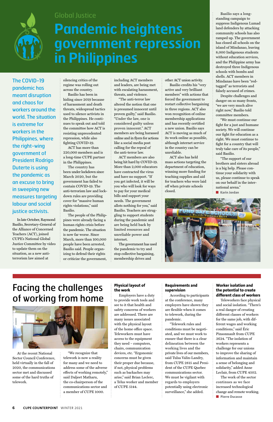At the recent National Sector Council Conference, held virtually in the fall of 2020, the communications sector met and discussed some of the hard truths of telework.

"We recognize that telework is now a reality for many and we need to address some of the adverse effects of working remotely," said Daljeet Matharu, the co-chairperson of the communications sector and a member of CUPE 1000.

#### **Physical layout of the work**

Employers have a duty to provide work tools and see to it that health and safety concerns of worker are addressed. There are many issues associated with the physical layout of the home office space. Teleworkers must have access to the equipment they need – computers, chairs, communication devices, etc. "Ergonomic concerns must be given their proper due because, if not, physical problems such as backaches may arise," said Brian Leclerc, a Telus worker and member of CUPE 5144.

#### **Requirements and supervision**

According to participants at the conference, many employers have shown they are flexible when it comes to telework, during the pandemic.

"Telework rules and conditions must be negotiated, and we must work to ensure that there is a clear delineation between the working lives and the private lives of our members, said Tulsa Valin-Landry, from CUPE 2815 and President of the CUPE Quebec communications sector. We must be vigilant with regards to employers potentially using electronic surveillance," she added.

#### **Worker isolation and the potential to create different class of workers**

Teleworkers face physical and social isolation. "There's a real danger of creating different classes of workers for the same job, with different wages and working conditions," said Éric Pinsonnault from CUPE 3624. "The isolation of workers represents a challenge for our unions to improve the sharing of information and maintain a sense of belonging and solidarity," added Anne Leclair, from CUPE 4502. The work of the sector continues as we face increased technological change and remote working. ■ **Pierre Ducasse**



The COVID-19 pandemic has meant disruption and chaos for workers around the world. The situation is extreme for workers in the Philippines, where the right-wing government of President Rodrigo Duterte is using the pandemic as an excuse to bring in sweeping new measures targeting labour and social justice activists.

In late October, Raymond Basilio, Secretary-General of the Alliance of Concerned Teachers (ACT), joined CUPE's National Global Justice Committee by video to update them on the situation, as a new antiterrorism law aimed at

silencing critics of the regime was rolling out across the country.

Basilio has been in hiding since 2019 because of harassment and death threats, widespread tactics used to silence activists in the Philippines. He continues to speak out and told the committee how ACT is resisting unprecedented repression, while also fighting COVID-19.

ACT has more than 220,000 members and is a long-time CUPE partner in the Philippines.

The country has been under lockdown since March 2020, but the government has failed to contain COVID-19. The anti-terrorism law and lockdown rules are providing cover for "massive human rights violations," said Basilio.

The people of the Philippines were already facing a human rights crisis before the pandemic. The situation is now far worse. Since March, more than 100,000 people have been arrested, Basilio said. People organizing to defend their rights or criticize the government,

including ACT members and leaders, are being met with escalating harassment, threats, and violence.

"The anti-terror law altered the notion that one is presumed innocent until proven guilty," said Basilio. "Under the law, one is considered guilty unless proven innocent." ACT members are being harassed online and in flyers for actions like a social media post calling for the repeal of the anti-terror law.

ACT members are also being hit hard by COVID-19. More than 2,000 educators have contracted the virus and have no support. "If you get infected, it will be you who will look for ways to pay for your medical bills and support your needs. The government allots nothing for you," said Basilio. Teachers are struggling to support students during the pandemic and are being held back by limited resources and unreliable power and internet.

The government has used the pandemic to try and stop collective bargaining, membership drives and

other ACT union activity.

Basilio credits his "very active and very brilliant members" with actions that forced the government to restart collective bargaining in three regions. ACT also won recognition of online membership applications and has recently certified a new union. Basilio says ACT is moving as much of its work online as possible, although internet service in the country can be unreliable.

ACT also has held mass actions targeting the department of education, winning more funding for teaching supplies and aid for teachers who were laid off when private schools closed.

Basilio says a longstanding campaign to suppress Indigenous Lumad land defenders by attacking community schools has also ramped up. The government has closed all schools on the island of Mindanao, leaving 8,000 Indigenous students without education services, and the Philippine army has destroyed three Indigenous schools with bombs and shells. ACT members in Mindanao have been "redtagged" as terrorists and falsely accused of crimes.

Despite challenges and danger on so many fronts, "we are very much alive right now," Basilio told committee members.

"We must continue our fight for a just and humane society. We will continue our fight for education as a right. We must continue to fight for a country that will truly take care of its people," said Basilio.

"The support of our brothers and sisters abroad is a big help. Please continue your solidarity with us, please continue to speak on our behalf in the international arena."

**Karin Jordan** 



### Facing the challenges of working from home



#### Global Justice

# **Pandemic heightens government repression in Philippines**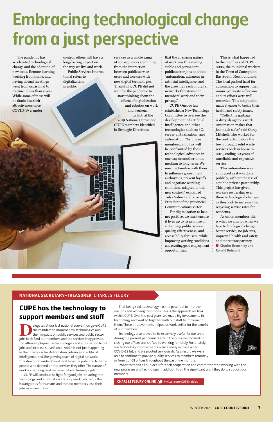

That being said, technology has the potential to improve our jobs and working conditions. This is the approach we took within CUPE. Over the past years, we made big investments in technology and worked together with our staff to implement them. These improvements helped us work better for the benefit of our members. Technology also proved to be extremely useful for our union during the present pandemic. Early in the crisis, we focused on closing our offices and shifted to working remotely. Fortunately, our technology improvements were already in place when COVID-19 hit, and we pivoted very quickly. As a result, we were able to continue to provide quality services to members remotely or from our 68 offices throughout the past nine months. I want to thank all our locals for their cooperation and commitment to working with the new processes and technology, in addition to all the significant work they do to support our members.



Elegates at our last national convention gave CUPE<br>the mandate to monitor new technologies and<br>their impacts on public services and public sector<br>iobs to defend our members and the services they provide the mandate to monitor new technologies and their impacts on public services and public sector jobs to defend our members and the services they provide. Too often employers use technologies and automation to cut jobs and increase surveillance. And it is not just happening in the private sector. Automation, advances in artificial intelligence, and the growing reach of digital networks threaten our members' work and have the potential to harm people who depend on the services they offer. The nature of work is changing, and we have to be extremely vigilant.

**CUPE has the technology to** 

### **support members and staff**

CUPE will continue to fight for good jobs, ensuring that technology and automation are only used to do work that is dangerous for humans and that no members lose their jobs as a direct result.

**CHARLES FLEURY ONLINE 3** twitter.com/CUPENatSec

The pandemic has accelerated technological change and the adoption of new tools. Remote learning, working from home, and having virtual meetings went from occasional to routine in less than a year. While some of these will no doubt lose their attractiveness once COVID-19 is under

control, others will have a long-lasting impact on the way we live and work.

Public Services International refers to digitalization in public

services as a whole range of consequences stemming from the interaction between public service users and workers with new digital technologies. Thankfully, CUPE did not wait for the pandemic to start thinking about the effects of digitalization and robotics on work and workers. In fact, at the 2019 National Convention, CUPE members identified in Strategic Directions

that the changing nature of work was threatening stable and permanent public sector jobs and that "automation, advances in artificial intelligence, and the growing reach of digital networks threatens our members' work and their privacy."

CUPE Quebec has established a New Technology Committee to oversee the development of artificial intelligence and other technologies such as 5G, server virtualization, and automation. "As union members, all of us will be confronted by these technological advances in one way or another in the medium to long term. We must be familiar with them to influence government authorities, prevent layoffs and negotiate working conditions adapted to this new context," explained Tulsa Valin-Landry, acting President of the provincial Communications sector.

For digitalization to be a net positive, we must ensure it lives up to its promise of enhancing public service quality, effectiveness, and accessibility for users, while improving working conditions and creating good employment opportunities.

This is what happened to the members of CUPE 3034, the municipal workers in the Town of Conception Bay South, Newfoundland. The local pushed hard for automation to support their municipal waste collection and its efforts were well rewarded. This adaptation made it easier to tackle their health and safety issues.

"Collecting garbage is dirty, dangerous work. Automation makes that job much safer," said Corey Mitchell, who worked for the contractor before the town brought solid waste services back in house in 2012, ending 30 years of unreliable and expensive service.

This automation was embraced as it was done publicly, without the use of a public-private partnership. This project has given workers ownership over these technological changes as they look to increase their recycling service rates for residents.

As union members this is what we aim for when we face technological change: better service, no job cuts, improved health and safety and more transparency. ■ **Charles Brenchley and Ronald Boisrond**

# **Embracing technological change from a just perspective**